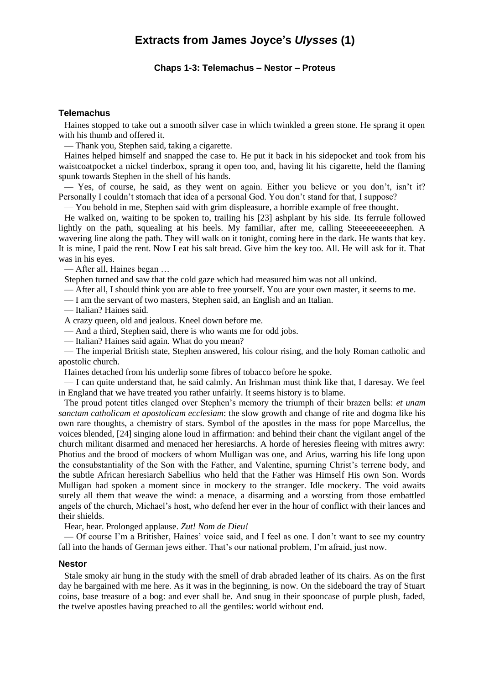# **Extracts from James Joyce's** *Ulysses* **(1)**

## **Chaps 1-3: Telemachus – Nestor – Proteus**

# **Telemachus**

Haines stopped to take out a smooth silver case in which twinkled a green stone. He sprang it open with his thumb and offered it.

— Thank you, Stephen said, taking a cigarette.

Haines helped himself and snapped the case to. He put it back in his sidepocket and took from his waistcoatpocket a nickel tinderbox, sprang it open too, and, having lit his cigarette, held the flaming spunk towards Stephen in the shell of his hands.

— Yes, of course, he said, as they went on again. Either you believe or you don't, isn't it? Personally I couldn't stomach that idea of a personal God. You don't stand for that, I suppose?

— You behold in me, Stephen said with grim displeasure, a horrible example of free thought.

He walked on, waiting to be spoken to, trailing his [23] ashplant by his side. Its ferrule followed lightly on the path, squealing at his heels. My familiar, after me, calling Steeeeeeeeeephen. A wavering line along the path. They will walk on it tonight, coming here in the dark. He wants that key. It is mine, I paid the rent. Now I eat his salt bread. Give him the key too. All. He will ask for it. That was in his eyes.

— After all, Haines began …

Stephen turned and saw that the cold gaze which had measured him was not all unkind.

— After all, I should think you are able to free yourself. You are your own master, it seems to me.

— I am the servant of two masters, Stephen said, an English and an Italian.

— Italian? Haines said.

A crazy queen, old and jealous. Kneel down before me.

— And a third, Stephen said, there is who wants me for odd jobs.

— Italian? Haines said again. What do you mean?

— The imperial British state, Stephen answered, his colour rising, and the holy Roman catholic and apostolic church.

Haines detached from his underlip some fibres of tobacco before he spoke.

— I can quite understand that, he said calmly. An Irishman must think like that, I daresay. We feel in England that we have treated you rather unfairly. It seems history is to blame.

The proud potent titles clanged over Stephen's memory the triumph of their brazen bells: *et unam sanctam catholicam et apostolicam ecclesiam*: the slow growth and change of rite and dogma like his own rare thoughts, a chemistry of stars. Symbol of the apostles in the mass for pope Marcellus, the voices blended, [24] singing alone loud in affirmation: and behind their chant the vigilant angel of the church militant disarmed and menaced her heresiarchs. A horde of heresies fleeing with mitres awry: Photius and the brood of mockers of whom Mulligan was one, and Arius, warring his life long upon the consubstantiality of the Son with the Father, and Valentine, spurning Christ's terrene body, and the subtle African heresiarch Sabellius who held that the Father was Himself His own Son. Words Mulligan had spoken a moment since in mockery to the stranger. Idle mockery. The void awaits surely all them that weave the wind: a menace, a disarming and a worsting from those embattled angels of the church, Michael's host, who defend her ever in the hour of conflict with their lances and their shields.

Hear, hear. Prolonged applause. *Zut! Nom de Dieu!*

— Of course I'm a Britisher, Haines' voice said, and I feel as one. I don't want to see my country fall into the hands of German jews either. That's our national problem, I'm afraid, just now.

#### **Nestor**

Stale smoky air hung in the study with the smell of drab abraded leather of its chairs. As on the first day he bargained with me here. As it was in the beginning, is now. On the sideboard the tray of Stuart coins, base treasure of a bog: and ever shall be. And snug in their spooncase of purple plush, faded, the twelve apostles having preached to all the gentiles: world without end.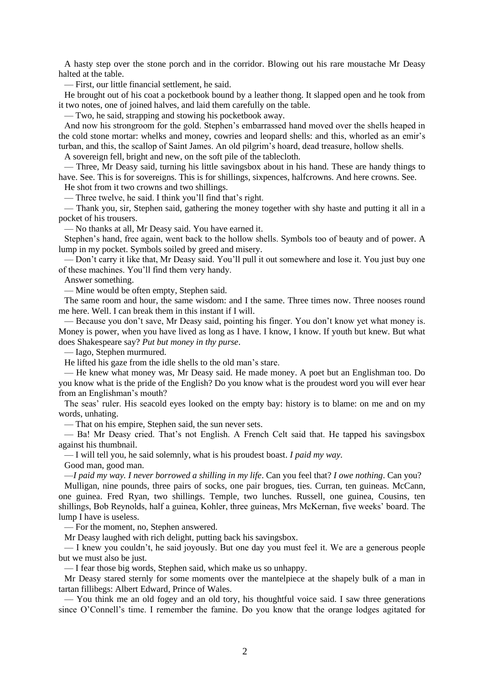A hasty step over the stone porch and in the corridor. Blowing out his rare moustache Mr Deasy halted at the table.

— First, our little financial settlement, he said.

He brought out of his coat a pocketbook bound by a leather thong. It slapped open and he took from it two notes, one of joined halves, and laid them carefully on the table.

— Two, he said, strapping and stowing his pocketbook away.

And now his strongroom for the gold. Stephen's embarrassed hand moved over the shells heaped in the cold stone mortar: whelks and money, cowries and leopard shells: and this, whorled as an emir's turban, and this, the scallop of Saint James. An old pilgrim's hoard, dead treasure, hollow shells.

A sovereign fell, bright and new, on the soft pile of the tablecloth.

— Three, Mr Deasy said, turning his little savingsbox about in his hand. These are handy things to have. See. This is for sovereigns. This is for shillings, sixpences, halfcrowns. And here crowns. See.

He shot from it two crowns and two shillings.

— Three twelve, he said. I think you'll find that's right.

— Thank you, sir, Stephen said, gathering the money together with shy haste and putting it all in a pocket of his trousers.

— No thanks at all, Mr Deasy said. You have earned it.

Stephen's hand, free again, went back to the hollow shells. Symbols too of beauty and of power. A lump in my pocket. Symbols soiled by greed and misery.

— Don't carry it like that, Mr Deasy said. You'll pull it out somewhere and lose it. You just buy one of these machines. You'll find them very handy.

Answer something.

— Mine would be often empty, Stephen said.

The same room and hour, the same wisdom: and I the same. Three times now. Three nooses round me here. Well. I can break them in this instant if I will.

— Because you don't save, Mr Deasy said, pointing his finger. You don't know yet what money is. Money is power, when you have lived as long as I have. I know, I know. If youth but knew. But what does Shakespeare say? *Put but money in thy purse*.

— Iago, Stephen murmured.

He lifted his gaze from the idle shells to the old man's stare.

— He knew what money was, Mr Deasy said. He made money. A poet but an Englishman too. Do you know what is the pride of the English? Do you know what is the proudest word you will ever hear from an Englishman's mouth?

The seas' ruler. His seacold eyes looked on the empty bay: history is to blame: on me and on my words, unhating.

— That on his empire, Stephen said, the sun never sets.

— Ba! Mr Deasy cried. That's not English. A French Celt said that. He tapped his savingsbox against his thumbnail.

— I will tell you, he said solemnly, what is his proudest boast. *I paid my way*.

Good man, good man.

—*I paid my way. I never borrowed a shilling in my life*. Can you feel that? *I owe nothing*. Can you?

Mulligan, nine pounds, three pairs of socks, one pair brogues, ties. Curran, ten guineas. McCann, one guinea. Fred Ryan, two shillings. Temple, two lunches. Russell, one guinea, Cousins, ten shillings, Bob Reynolds, half a guinea, Kohler, three guineas, Mrs McKernan, five weeks' board. The lump I have is useless.

— For the moment, no, Stephen answered.

Mr Deasy laughed with rich delight, putting back his savingsbox.

— I knew you couldn't, he said joyously. But one day you must feel it. We are a generous people but we must also be just.

— I fear those big words, Stephen said, which make us so unhappy.

Mr Deasy stared sternly for some moments over the mantelpiece at the shapely bulk of a man in tartan fillibegs: Albert Edward, Prince of Wales.

— You think me an old fogey and an old tory, his thoughtful voice said. I saw three generations since O'Connell's time. I remember the famine. Do you know that the orange lodges agitated for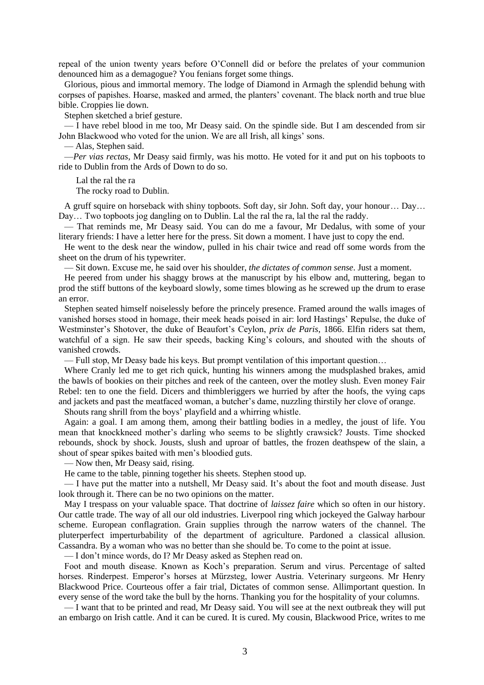repeal of the union twenty years before O'Connell did or before the prelates of your communion denounced him as a demagogue? You fenians forget some things.

Glorious, pious and immortal memory. The lodge of Diamond in Armagh the splendid behung with corpses of papishes. Hoarse, masked and armed, the planters' covenant. The black north and true blue bible. Croppies lie down.

Stephen sketched a brief gesture.

— I have rebel blood in me too, Mr Deasy said. On the spindle side. But I am descended from sir John Blackwood who voted for the union. We are all Irish, all kings' sons.

— Alas, Stephen said.

—*Per vias rectas*, Mr Deasy said firmly, was his motto. He voted for it and put on his topboots to ride to Dublin from the Ards of Down to do so.

Lal the ral the ra

The rocky road to Dublin.

A gruff squire on horseback with shiny topboots. Soft day, sir John. Soft day, your honour… Day… Day… Two topboots jog dangling on to Dublin. Lal the ral the ra, lal the ral the raddy.

— That reminds me, Mr Deasy said. You can do me a favour, Mr Dedalus, with some of your literary friends: I have a letter here for the press. Sit down a moment. I have just to copy the end.

He went to the desk near the window, pulled in his chair twice and read off some words from the sheet on the drum of his typewriter.

— Sit down. Excuse me, he said over his shoulder, *the dictates of common sense*. Just a moment.

He peered from under his shaggy brows at the manuscript by his elbow and, muttering, began to prod the stiff buttons of the keyboard slowly, some times blowing as he screwed up the drum to erase an error.

Stephen seated himself noiselessly before the princely presence. Framed around the walls images of vanished horses stood in homage, their meek heads poised in air: lord Hastings' Repulse, the duke of Westminster's Shotover, the duke of Beaufort's Ceylon, *prix de Paris*, 1866. Elfin riders sat them, watchful of a sign. He saw their speeds, backing King's colours, and shouted with the shouts of vanished crowds.

— Full stop, Mr Deasy bade his keys. But prompt ventilation of this important question…

Where Cranly led me to get rich quick, hunting his winners among the mudsplashed brakes, amid the bawls of bookies on their pitches and reek of the canteen, over the motley slush. Even money Fair Rebel: ten to one the field. Dicers and thimbleriggers we hurried by after the hoofs, the vying caps and jackets and past the meatfaced woman, a butcher's dame, nuzzling thirstily her clove of orange.

Shouts rang shrill from the boys' playfield and a whirring whistle.

Again: a goal. I am among them, among their battling bodies in a medley, the joust of life. You mean that knockkneed mother's darling who seems to be slightly crawsick? Jousts. Time shocked rebounds, shock by shock. Jousts, slush and uproar of battles, the frozen deathspew of the slain, a shout of spear spikes baited with men's bloodied guts.

— Now then, Mr Deasy said, rising.

He came to the table, pinning together his sheets. Stephen stood up.

— I have put the matter into a nutshell, Mr Deasy said. It's about the foot and mouth disease. Just look through it. There can be no two opinions on the matter.

May I trespass on your valuable space. That doctrine of *laissez faire* which so often in our history. Our cattle trade. The way of all our old industries. Liverpool ring which jockeyed the Galway harbour scheme. European conflagration. Grain supplies through the narrow waters of the channel. The pluterperfect imperturbability of the department of agriculture. Pardoned a classical allusion. Cassandra. By a woman who was no better than she should be. To come to the point at issue.

— I don't mince words, do I? Mr Deasy asked as Stephen read on.

Foot and mouth disease. Known as Koch's preparation. Serum and virus. Percentage of salted horses. Rinderpest. Emperor's horses at Mürzsteg, lower Austria. Veterinary surgeons. Mr Henry Blackwood Price. Courteous offer a fair trial, Dictates of common sense. Allimportant question. In every sense of the word take the bull by the horns. Thanking you for the hospitality of your columns.

— I want that to be printed and read, Mr Deasy said. You will see at the next outbreak they will put an embargo on Irish cattle. And it can be cured. It is cured. My cousin, Blackwood Price, writes to me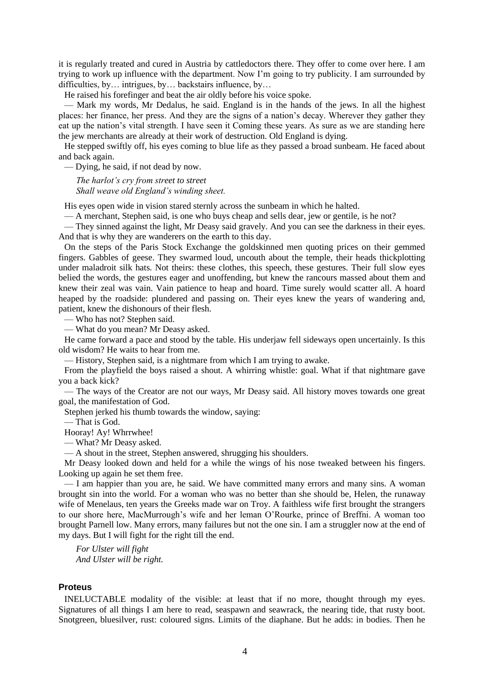it is regularly treated and cured in Austria by cattledoctors there. They offer to come over here. I am trying to work up influence with the department. Now I'm going to try publicity. I am surrounded by difficulties, by… intrigues, by… backstairs influence, by…

He raised his forefinger and beat the air oldly before his voice spoke.

— Mark my words, Mr Dedalus, he said. England is in the hands of the jews. In all the highest places: her finance, her press. And they are the signs of a nation's decay. Wherever they gather they eat up the nation's vital strength. I have seen it Coming these years. As sure as we are standing here the jew merchants are already at their work of destruction. Old England is dying.

He stepped swiftly off, his eyes coming to blue life as they passed a broad sunbeam. He faced about and back again.

— Dying, he said, if not dead by now.

*The harlot's cry from street to street Shall weave old England's winding sheet.*

His eyes open wide in vision stared sternly across the sunbeam in which he halted.

— A merchant, Stephen said, is one who buys cheap and sells dear, jew or gentile, is he not?

— They sinned against the light, Mr Deasy said gravely. And you can see the darkness in their eyes. And that is why they are wanderers on the earth to this day.

On the steps of the Paris Stock Exchange the goldskinned men quoting prices on their gemmed fingers. Gabbles of geese. They swarmed loud, uncouth about the temple, their heads thickplotting under maladroit silk hats. Not theirs: these clothes, this speech, these gestures. Their full slow eyes belied the words, the gestures eager and unoffending, but knew the rancours massed about them and knew their zeal was vain. Vain patience to heap and hoard. Time surely would scatter all. A hoard heaped by the roadside: plundered and passing on. Their eyes knew the years of wandering and, patient, knew the dishonours of their flesh.

— Who has not? Stephen said.

— What do you mean? Mr Deasy asked.

He came forward a pace and stood by the table. His underjaw fell sideways open uncertainly. Is this old wisdom? He waits to hear from me.

— History, Stephen said, is a nightmare from which I am trying to awake.

From the playfield the boys raised a shout. A whirring whistle: goal. What if that nightmare gave you a back kick?

— The ways of the Creator are not our ways, Mr Deasy said. All history moves towards one great goal, the manifestation of God.

Stephen jerked his thumb towards the window, saying:

— That is God.

Hooray! Ay! Whrrwhee!

— What? Mr Deasy asked.

— A shout in the street, Stephen answered, shrugging his shoulders.

Mr Deasy looked down and held for a while the wings of his nose tweaked between his fingers. Looking up again he set them free.

— I am happier than you are, he said. We have committed many errors and many sins. A woman brought sin into the world. For a woman who was no better than she should be, Helen, the runaway wife of Menelaus, ten years the Greeks made war on Troy. A faithless wife first brought the strangers to our shore here, MacMurrough's wife and her leman O'Rourke, prince of Breffni. A woman too brought Parnell low. Many errors, many failures but not the one sin. I am a struggler now at the end of my days. But I will fight for the right till the end.

*For Ulster will fight And Ulster will be right.*

## **Proteus**

INELUCTABLE modality of the visible: at least that if no more, thought through my eyes. Signatures of all things I am here to read, seaspawn and seawrack, the nearing tide, that rusty boot. Snotgreen, bluesilver, rust: coloured signs. Limits of the diaphane. But he adds: in bodies. Then he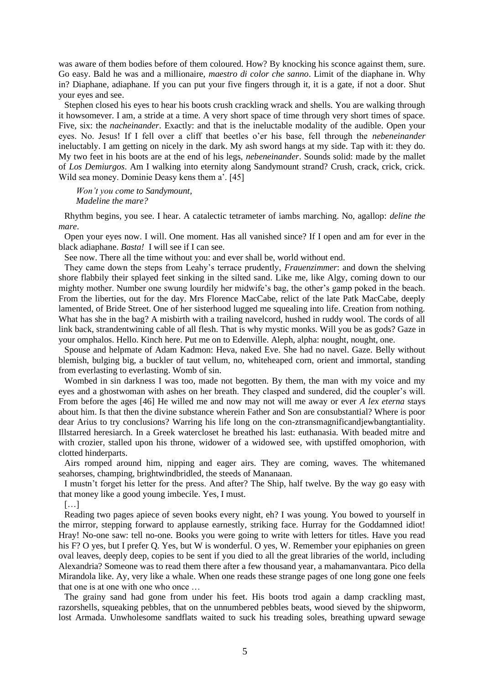was aware of them bodies before of them coloured. How? By knocking his sconce against them, sure. Go easy. Bald he was and a millionaire, *maestro di color che sanno*. Limit of the diaphane in. Why in? Diaphane, adiaphane. If you can put your five fingers through it, it is a gate, if not a door. Shut your eyes and see.

Stephen closed his eyes to hear his boots crush crackling wrack and shells. You are walking through it howsomever. I am, a stride at a time. A very short space of time through very short times of space. Five, six: the *nacheinander*. Exactly: and that is the ineluctable modality of the audible. Open your eyes. No. Jesus! If I fell over a cliff that beetles o'er his base, fell through the *nebeneinander* ineluctably. I am getting on nicely in the dark. My ash sword hangs at my side. Tap with it: they do. My two feet in his boots are at the end of his legs, *nebeneinander*. Sounds solid: made by the mallet of *Los Demiurgos*. Am I walking into eternity along Sandymount strand? Crush, crack, crick, crick. Wild sea money. Dominie Deasy kens them a'. [45]

*Won't you come to Sandymount, Madeline the mare?*

Rhythm begins, you see. I hear. A catalectic tetrameter of iambs marching. No, agallop: *deline the mare*.

Open your eyes now. I will. One moment. Has all vanished since? If I open and am for ever in the black adiaphane. *Basta!* I will see if I can see.

See now. There all the time without you: and ever shall be, world without end.

They came down the steps from Leahy's terrace prudently, *Frauenzimmer*: and down the shelving shore flabbily their splayed feet sinking in the silted sand. Like me, like Algy, coming down to our mighty mother. Number one swung lourdily her midwife's bag, the other's gamp poked in the beach. From the liberties, out for the day. Mrs Florence MacCabe, relict of the late Patk MacCabe, deeply lamented, of Bride Street. One of her sisterhood lugged me squealing into life. Creation from nothing. What has she in the bag? A misbirth with a trailing navelcord, hushed in ruddy wool. The cords of all link back, strandentwining cable of all flesh. That is why mystic monks. Will you be as gods? Gaze in your omphalos. Hello. Kinch here. Put me on to Edenville. Aleph, alpha: nought, nought, one.

Spouse and helpmate of Adam Kadmon: Heva, naked Eve. She had no navel. Gaze. Belly without blemish, bulging big, a buckler of taut vellum, no, whiteheaped corn, orient and immortal, standing from everlasting to everlasting. Womb of sin.

Wombed in sin darkness I was too, made not begotten. By them, the man with my voice and my eyes and a ghostwoman with ashes on her breath. They clasped and sundered, did the coupler's will. From before the ages [46] He willed me and now may not will me away or ever *A lex eterna* stays about him. Is that then the divine substance wherein Father and Son are consubstantial? Where is poor dear Arius to try conclusions? Warring his life long on the con-ztransmagnificandjewbangtantiality. Illstarred heresiarch. In a Greek watercloset he breathed his last: euthanasia. With beaded mitre and with crozier, stalled upon his throne, widower of a widowed see, with upstiffed omophorion, with clotted hinderparts.

Airs romped around him, nipping and eager airs. They are coming, waves. The whitemaned seahorses, champing, brightwindbridled, the steeds of Mananaan.

I mustn't forget his letter for the press. And after? The Ship, half twelve. By the way go easy with that money like a good young imbecile. Yes, I must.

 $[...]$ 

Reading two pages apiece of seven books every night, eh? I was young. You bowed to yourself in the mirror, stepping forward to applause earnestly, striking face. Hurray for the Goddamned idiot! Hray! No-one saw: tell no-one. Books you were going to write with letters for titles. Have you read his F? O yes, but I prefer Q. Yes, but W is wonderful. O yes, W. Remember your epiphanies on green oval leaves, deeply deep, copies to be sent if you died to all the great libraries of the world, including Alexandria? Someone was to read them there after a few thousand year, a mahamanvantara. Pico della Mirandola like. Ay, very like a whale. When one reads these strange pages of one long gone one feels that one is at one with one who once …

The grainy sand had gone from under his feet. His boots trod again a damp crackling mast, razorshells, squeaking pebbles, that on the unnumbered pebbles beats, wood sieved by the shipworm, lost Armada. Unwholesome sandflats waited to suck his treading soles, breathing upward sewage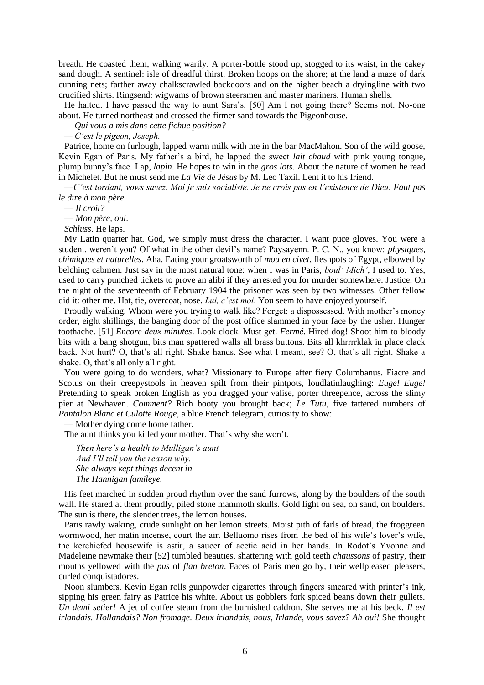breath. He coasted them, walking warily. A porter-bottle stood up, stogged to its waist, in the cakey sand dough. A sentinel: isle of dreadful thirst. Broken hoops on the shore; at the land a maze of dark cunning nets; farther away chalkscrawled backdoors and on the higher beach a dryingline with two crucified shirts. Ringsend: wigwams of brown steersmen and master mariners. Human shells.

He halted. I have passed the way to aunt Sara's. [50] Am I not going there? Seems not. No-one about. He turned northeast and crossed the firmer sand towards the Pigeonhouse.

*— Qui vous a mis dans cette fichue position?*

*— C'est le pigeon, Joseph.* 

Patrice, home on furlough, lapped warm milk with me in the bar MacMahon. Son of the wild goose, Kevin Egan of Paris. My father's a bird, he lapped the sweet *lait chaud* with pink young tongue, plump bunny's face. Lap, *lapin*. He hopes to win in the *gros lots*. About the nature of women he read in Michelet. But he must send me *La Vie de Jésus* by M. Leo Taxil. Lent it to his friend.

—*C'est tordant, vows savez. Moi je suis socialiste. Je ne crois pas en l'existence de Dieu. Faut pas le dire à mon père.* 

— *Il croit?*

— *Mon père, oui*.

*Schluss*. He laps.

My Latin quarter hat. God, we simply must dress the character. I want puce gloves. You were a student, weren't you? Of what in the other devil's name? Paysayenn. P. C. N., you know: *physiques, chimiques et naturelles*. Aha. Eating your groatsworth of *mou en civet*, fleshpots of Egypt, elbowed by belching cabmen. Just say in the most natural tone: when I was in Paris, *boul' Mich'*, I used to. Yes, used to carry punched tickets to prove an alibi if they arrested you for murder somewhere. Justice. On the night of the seventeenth of February 1904 the prisoner was seen by two witnesses. Other fellow did it: other me. Hat, tie, overcoat, nose. *Lui, c'est moi*. You seem to have enjoyed yourself.

Proudly walking. Whom were you trying to walk like? Forget: a dispossessed. With mother's money order, eight shillings, the banging door of the post office slammed in your face by the usher. Hunger toothache. [51] *Encore deux minutes*. Look clock. Must get. *Fermé*. Hired dog! Shoot him to bloody bits with a bang shotgun, bits man spattered walls all brass buttons. Bits all khrrrrklak in place clack back. Not hurt? O, that's all right. Shake hands. See what I meant, see? O, that's all right. Shake a shake. O, that's all only all right.

You were going to do wonders, what? Missionary to Europe after fiery Columbanus. Fiacre and Scotus on their creepystools in heaven spilt from their pintpots, loudlatinlaughing: *Euge! Euge!* Pretending to speak broken English as you dragged your valise, porter threepence, across the slimy pier at Newhaven. *Comment?* Rich booty you brought back; *Le Tutu*, five tattered numbers of *Pantalon Blanc et Culotte Rouge*, a blue French telegram, curiosity to show:

— Mother dying come home father.

The aunt thinks you killed your mother. That's why she won't.

*Then here's a health to Mulligan's aunt And I'll tell you the reason why. She always kept things decent in The Hannigan famileye.*

His feet marched in sudden proud rhythm over the sand furrows, along by the boulders of the south wall. He stared at them proudly, piled stone mammoth skulls. Gold light on sea, on sand, on boulders. The sun is there, the slender trees, the lemon houses.

Paris rawly waking, crude sunlight on her lemon streets. Moist pith of farls of bread, the froggreen wormwood, her matin incense, court the air. Belluomo rises from the bed of his wife's lover's wife, the kerchiefed housewife is astir, a saucer of acetic acid in her hands. In Rodot's Yvonne and Madeleine newmake their [52] tumbled beauties, shattering with gold teeth *chaussons* of pastry, their mouths yellowed with the *pus* of *flan breton*. Faces of Paris men go by, their wellpleased pleasers, curled conquistadores.

Noon slumbers. Kevin Egan rolls gunpowder cigarettes through fingers smeared with printer's ink, sipping his green fairy as Patrice his white. About us gobblers fork spiced beans down their gullets. *Un demi setier!* A jet of coffee steam from the burnished caldron. She serves me at his beck. *Il est irlandais. Hollandais? Non fromage. Deux irlandais, nous, Irlande, vous savez? Ah oui!* She thought